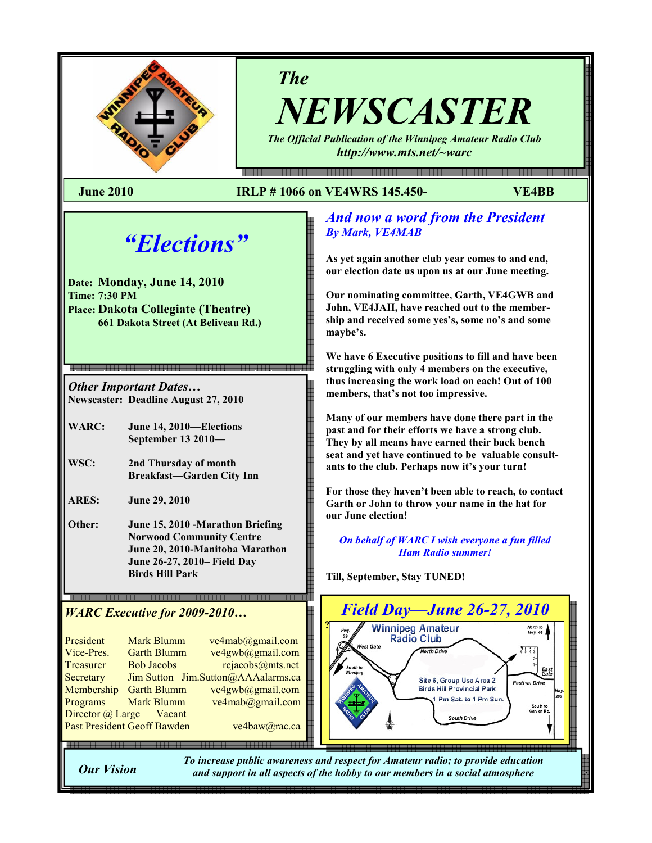

The

NEWSCASTER The Official Publication of the Winnipeg Amateur Radio Club

http://www.mts.net/~warc

#### June 2010 IRLP # 1066 on VE4WRS 145.450- VE4BB

# "Elections"

Date: Monday, June 14, 2010 Time: 7:30 PM Place: Dakota Collegiate (Theatre) 661 Dakota Street (At Beliveau Rd.)

Other Important Dates… Newscaster: Deadline August 27, 2010

WARC: June 14, 2010—Elections September 13 2010—

WSC: 2nd Thursday of month Breakfast—Garden City Inn

ARES: June 29, 2010

Other: June 15, 2010 -Marathon Briefing Norwood Community Centre June 20, 2010-Manitoba Marathon June 26-27, 2010– Field Day Birds Hill Park

WARC Executive for 2009-2010…

| President                   | <b>Mark Blumm</b>  | ve4mab@gmail.com                   |  |  |
|-----------------------------|--------------------|------------------------------------|--|--|
| Vice-Pres.                  | <b>Garth Blumm</b> | ve4gwb@gmail.com                   |  |  |
| Treasurer                   | <b>Bob Jacobs</b>  | rcjacobs@mts.net                   |  |  |
| Secretary                   |                    | Jim Sutton Jim.Sutton@AAAalarms.ca |  |  |
| Membership                  | <b>Garth Blumm</b> | ve4gwb@gmail.com                   |  |  |
| Programs                    | <b>Mark Blumm</b>  | ve4mab@gmail.com                   |  |  |
| Director @ Large Vacant     |                    |                                    |  |  |
| Past President Geoff Bawden |                    | ve4baw@rac.ca                      |  |  |
|                             |                    |                                    |  |  |

#### And now a word from the President By Mark, VE4MAB

As yet again another club year comes to and end, our election date us upon us at our June meeting.

Our nominating committee, Garth, VE4GWB and John, VE4JAH, have reached out to the membership and received some yes's, some no's and some maybe's.

We have 6 Executive positions to fill and have been struggling with only 4 members on the executive, thus increasing the work load on each! Out of 100 members, that's not too impressive.

Many of our members have done there part in the past and for their efforts we have a strong club. They by all means have earned their back bench seat and yet have continued to be valuable consultants to the club. Perhaps now it's your turn!

For those they haven't been able to reach, to contact Garth or John to throw your name in the hat for our June election!

On behalf of WARC I wish everyone a fun filled Ham Radio summer!

Till, September, Stay TUNED!



Our Vision

To increase public awareness and respect for Amateur radio; to provide education and support in all aspects of the hobby to our members in a social atmosphere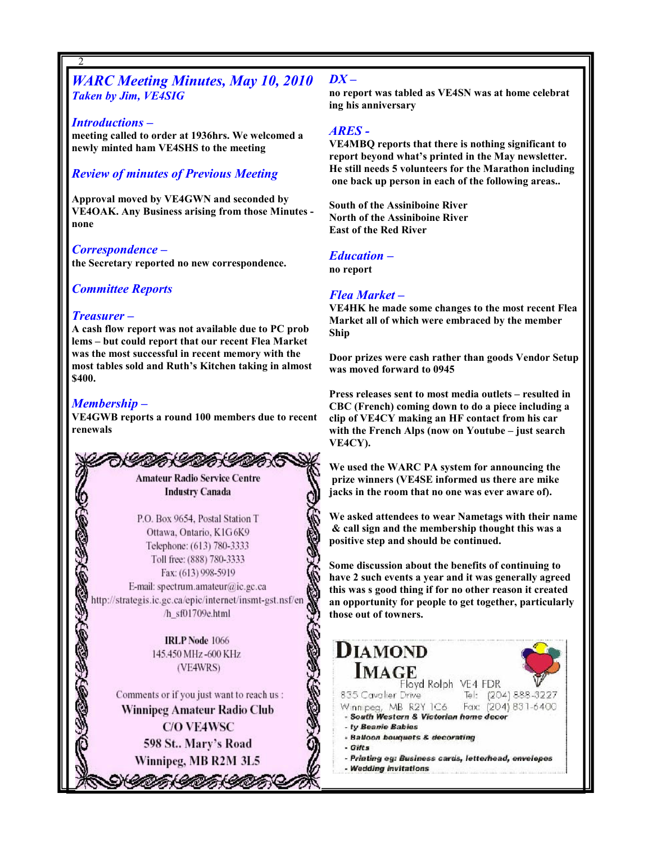#### WARC Meeting Minutes, May 10, 2010 Taken by Jim, VE4SIG

#### Introductions –

2

meeting called to order at 1936hrs. We welcomed a newly minted ham VE4SHS to the meeting

#### Review of minutes of Previous Meeting

Approval moved by VE4GWN and seconded by VE4OAK. Any Business arising from those Minutes none

#### Correspondence –

the Secretary reported no new correspondence.

#### Committee Reports

#### Treasurer –

A cash flow report was not available due to PC prob lems – but could report that our recent Flea Market was the most successful in recent memory with the most tables sold and Ruth's Kitchen taking in almost \$400.

#### Membership –

2

VE4GWB reports a round 100 members due to recent renewals



P.O. Box 9654, Postal Station T Ottawa, Ontario, K1G6K9 Telephone: (613) 780-3333 Toll free: (888) 780-3333 Fax: (613) 998-5919 E-mail: spectrum.amateur@ic.gc.ca http://strategis.ic.gc.ca/epic/internet/insmt-gst.nsf/en /h sf01709e.html

> **IRLP** Node 1066 145.450 MHz -600 KHz (VE4WRS)

Comments or if you just want to reach us : Winnipeg Amateur Radio Club **C/O VE4WSC** 598 St., Mary's Road Winnipeg, MB R2M 3L5

うくのかくりつかくりつか

#### $DX -$

no report was tabled as VE4SN was at home celebrat ing his anniversary

#### ARES -

VE4MBQ reports that there is nothing significant to report beyond what's printed in the May newsletter. He still needs 5 volunteers for the Marathon including one back up person in each of the following areas..

South of the Assiniboine River North of the Assiniboine River East of the Red River

#### Education –

no report

#### Flea Market –

VE4HK he made some changes to the most recent Flea Market all of which were embraced by the member Ship

Door prizes were cash rather than goods Vendor Setup was moved forward to 0945

Press releases sent to most media outlets – resulted in CBC (French) coming down to do a piece including a clip of VE4CY making an HF contact from his car with the French Alps (now on Youtube – just search VE4CY).

We used the WARC PA system for announcing the prize winners (VE4SE informed us there are mike jacks in the room that no one was ever aware of).

We asked attendees to wear Nametags with their name & call sign and the membership thought this was a positive step and should be continued.

Some discussion about the benefits of continuing to have 2 such events a year and it was generally agreed this was s good thing if for no other reason it created an opportunity for people to get together, particularly those out of towners.

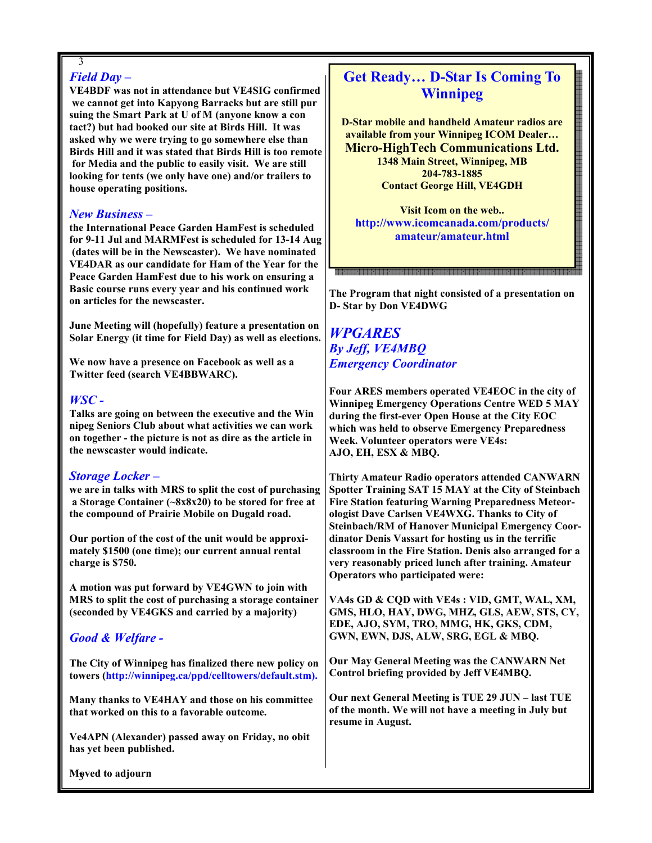#### 3 Field Day –

VE4BDF was not in attendance but VE4SIG confirmed we cannot get into Kapyong Barracks but are still pur suing the Smart Park at U of M (anyone know a con tact?) but had booked our site at Birds Hill. It was asked why we were trying to go somewhere else than Birds Hill and it was stated that Birds Hill is too remote for Media and the public to easily visit. We are still looking for tents (we only have one) and/or trailers to house operating positions.

#### New Business –

the International Peace Garden HamFest is scheduled for 9-11 Jul and MARMFest is scheduled for 13-14 Aug (dates will be in the Newscaster). We have nominated VE4DAR as our candidate for Ham of the Year for the Peace Garden HamFest due to his work on ensuring a Basic course runs every year and his continued work on articles for the newscaster.

June Meeting will (hopefully) feature a presentation on Solar Energy (it time for Field Day) as well as elections.

We now have a presence on Facebook as well as a Twitter feed (search VE4BBWARC).

#### WSC -

Talks are going on between the executive and the Win nipeg Seniors Club about what activities we can work on together - the picture is not as dire as the article in the newscaster would indicate.

#### Storage Locker –

we are in talks with MRS to split the cost of purchasing a Storage Container (~8x8x20) to be stored for free at the compound of Prairie Mobile on Dugald road.

Our portion of the cost of the unit would be approximately \$1500 (one time); our current annual rental charge is \$750.

A motion was put forward by VE4GWN to join with MRS to split the cost of purchasing a storage container (seconded by VE4GKS and carried by a majority)

#### Good & Welfare -

The City of Winnipeg has finalized there new policy on towers (http://winnipeg.ca/ppd/celltowers/default.stm).

Many thanks to VE4HAY and those on his committee that worked on this to a favorable outcome.

Ve4APN (Alexander) passed away on Friday, no obit has yet been published.

## Get Ready… D-Star Is Coming To Winnipeg

D-Star mobile and handheld Amateur radios are available from your Winnipeg ICOM Dealer… Micro-HighTech Communications Ltd. 1348 Main Street, Winnipeg, MB 204-783-1885 Contact George Hill, VE4GDH

Visit Icom on the web.. http://www.icomcanada.com/products/ amateur/amateur.html

#### The Program that night consisted of a presentation on D- Star by Don VE4DWG

#### WPGARES By Jeff, VE4MBQ Emergency Coordinator

Four ARES members operated VE4EOC in the city of Winnipeg Emergency Operations Centre WED 5 MAY during the first-ever Open House at the City EOC which was held to observe Emergency Preparedness Week. Volunteer operators were VE4s: AJO, EH, ESX & MBQ.

Thirty Amateur Radio operators attended CANWARN Spotter Training SAT 15 MAY at the City of Steinbach Fire Station featuring Warning Preparedness Meteorologist Dave Carlsen VE4WXG. Thanks to City of Steinbach/RM of Hanover Municipal Emergency Coordinator Denis Vassart for hosting us in the terrific classroom in the Fire Station. Denis also arranged for a very reasonably priced lunch after training. Amateur Operators who participated were:

VA4s GD & CQD with VE4s : VID, GMT, WAL, XM, GMS, HLO, HAY, DWG, MHZ, GLS, AEW, STS, CY, EDE, AJO, SYM, TRO, MMG, HK, GKS, CDM, GWN, EWN, DJS, ALW, SRG, EGL & MBQ.

Our May General Meeting was the CANWARN Net Control briefing provided by Jeff VE4MBQ.

Our next General Meeting is TUE 29 JUN – last TUE of the month. We will not have a meeting in July but resume in August.

Mgved to adjourn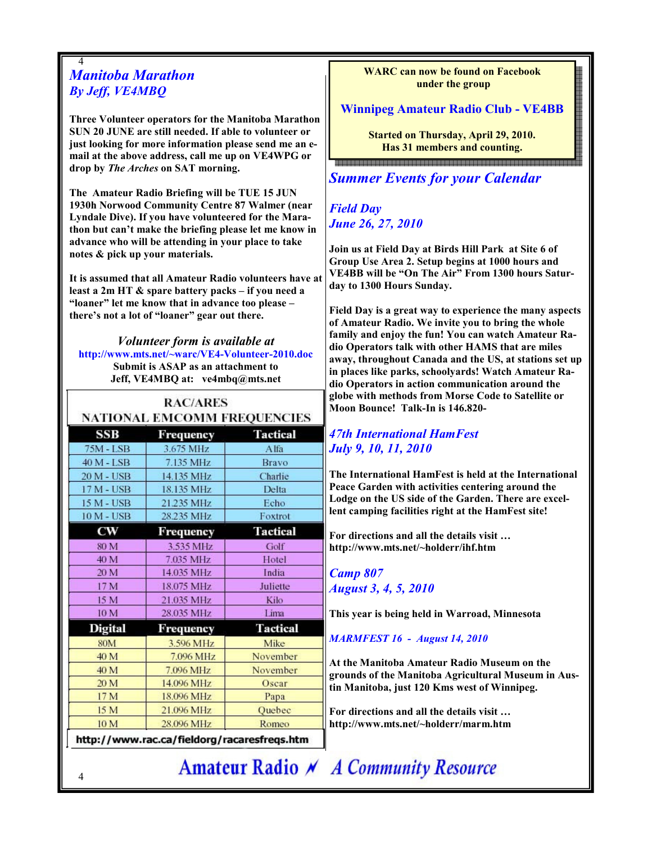#### 4 Manitoba Marathon By Jeff, VE4MBQ

Three Volunteer operators for the Manitoba Marathon SUN 20 JUNE are still needed. If able to volunteer or just looking for more information please send me an email at the above address, call me up on VE4WPG or drop by The Arches on SAT morning.

The Amateur Radio Briefing will be TUE 15 JUN 1930h Norwood Community Centre 87 Walmer (near Lyndale Dive). If you have volunteered for the Marathon but can't make the briefing please let me know in advance who will be attending in your place to take notes & pick up your materials.

It is assumed that all Amateur Radio volunteers have at least a 2m HT & spare battery packs – if you need a "loaner" let me know that in advance too please – there's not a lot of "loaner" gear out there.

Volunteer form is available at http://www.mts.net/~warc/VE4-Volunteer-2010.doc Submit is ASAP as an attachment to Jeff, VE4MBQ at: ve4mbq@mts.net

|                   | <b>NATIONAL EMCOMM FREQUENCIES</b> |                 |
|-------------------|------------------------------------|-----------------|
| SSB               | Frequency                          | <b>Tactical</b> |
| <b>75M - LSB</b>  | 3.675 MHz                          | <b>Alfa</b>     |
| 40 M - LSB        | 7.135 MHz                          | Bravo           |
| 20 M - USB        | 14.135 MHz                         | Charlie         |
| $17M - USB$       | 18.135 MHz                         | Delta           |
| 15 M - USB        | 21.235 MHz                         | Echo            |
| <b>10 M - USB</b> | 28.235 MHz                         | Foxtrot         |
| $_{\rm cw}$       | Frequency                          | <b>Tactical</b> |
| 80 M              | 3.535 MHz                          | Golf            |
| 40 M              | 7.035 MHz                          | Hotel           |
| 20 M              | 14.035 MHz                         | India           |
| 17 M              | 18.075 MHz                         | Juliette        |
| 15 M              | 21.035 MHz                         | Kilo            |
| 10 M              | 28.035 MHz                         | Lima            |
| <b>Digital</b>    | Frequency                          | <b>Tactical</b> |
| <b>80M</b>        | 3.596 MHz                          | Mike            |
| 40 M              | 7.096 MHz                          | November        |
| 40 M              | 7.096 MHz                          | November        |
| 20 M              | 14.096 MHz                         | Oscar           |
| 17 M              | 18.096 MHz                         | Papa            |
| 15 M              | 21.096 MHz                         | Quebec          |
| 10 M              | 28.096 MHz                         | Romeo           |

4

WARC can now be found on Facebook under the group

#### Winnipeg Amateur Radio Club - VE4BB

Started on Thursday, April 29, 2010. Has 31 members and counting. <u>Boooddaadaadaa aadaadaa aadaadaa aadaa aadaa aadaa aadaa aadaa a</u>

## **Summer Events for your Calendar**

Field Day June 26, 27, 2010

Join us at Field Day at Birds Hill Park at Site 6 of Group Use Area 2. Setup begins at 1000 hours and VE4BB will be "On The Air" From 1300 hours Saturday to 1300 Hours Sunday.

Field Day is a great way to experience the many aspects of Amateur Radio. We invite you to bring the whole family and enjoy the fun! You can watch Amateur Radio Operators talk with other HAMS that are miles away, throughout Canada and the US, at stations set up in places like parks, schoolyards! Watch Amateur Radio Operators in action communication around the globe with methods from Morse Code to Satellite or Moon Bounce! Talk-In is 146.820-

#### 47th International HamFest July 9, 10, 11, 2010

The International HamFest is held at the International Peace Garden with activities centering around the Lodge on the US side of the Garden. There are excellent camping facilities right at the HamFest site!

For directions and all the details visit … http://www.mts.net/~holderr/ihf.htm

#### Camp 807 August 3, 4, 5, 2010

This year is being held in Warroad, Minnesota

MARMFEST 16 - August 14, 2010

At the Manitoba Amateur Radio Museum on the grounds of the Manitoba Agricultural Museum in Austin Manitoba, just 120 Kms west of Winnipeg.

For directions and all the details visit … http://www.mts.net/~holderr/marm.htm

Amateur Radio N A Community Resource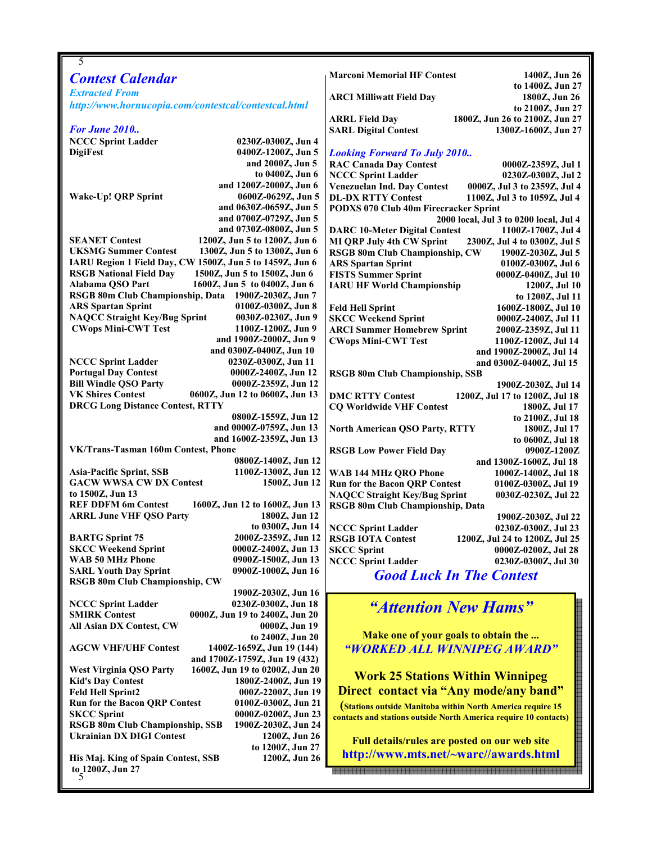| 5                                                                                                     |                                                                                                                                |
|-------------------------------------------------------------------------------------------------------|--------------------------------------------------------------------------------------------------------------------------------|
| <b>Contest Calendar</b>                                                                               | <b>Marconi Memorial HF Contest</b><br>1400Z, Jun 26                                                                            |
| <b>Extracted From</b>                                                                                 | to 1400Z, Jun 27                                                                                                               |
| http://www.hornucopia.com/contestcal/contestcal.html                                                  | <b>ARCI Milliwatt Field Day</b><br>1800Z, Jun 26<br>to 2100Z, Jun 27                                                           |
|                                                                                                       | 1800Z, Jun 26 to 2100Z, Jun 27<br><b>ARRL Field Day</b>                                                                        |
| <b>For June 2010</b>                                                                                  | <b>SARL Digital Contest</b><br>1300Z-1600Z, Jun 27                                                                             |
| <b>NCCC Sprint Ladder</b><br>0230Z-0300Z, Jun 4                                                       |                                                                                                                                |
| <b>DigiFest</b><br>0400Z-1200Z, Jun 5                                                                 | <b>Looking Forward To July 2010</b>                                                                                            |
| and 2000Z, Jun 5                                                                                      | <b>RAC Canada Day Contest</b><br>0000Z-2359Z, Jul 1                                                                            |
| to 0400Z, Jun 6                                                                                       | <b>NCCC Sprint Ladder</b><br>0230Z-0300Z, Jul 2                                                                                |
| and 1200Z-2000Z, Jun 6                                                                                | Venezuelan Ind. Day Contest<br>0000Z, Jul 3 to 2359Z, Jul 4                                                                    |
| Wake-Up! QRP Sprint<br>0600Z-0629Z, Jun 5                                                             | <b>DL-DX RTTY Contest</b><br>1100Z, Jul 3 to 1059Z, Jul 4                                                                      |
| and 0630Z-0659Z, Jun 5                                                                                | PODXS 070 Club 40m Firecracker Sprint                                                                                          |
| and 0700Z-0729Z, Jun 5<br>and 0730Z-0800Z, Jun 5                                                      | 2000 local, Jul 3 to 0200 local, Jul 4                                                                                         |
| <b>SEANET Contest</b><br>1200Z, Jun 5 to 1200Z, Jun 6                                                 | <b>DARC 10-Meter Digital Contest</b><br>1100Z-1700Z, Jul 4<br><b>MI QRP July 4th CW Sprint</b><br>2300Z, Jul 4 to 0300Z, Jul 5 |
| <b>UKSMG Summer Contest</b><br>1300Z, Jun 5 to 1300Z, Jun 6                                           | RSGB 80m Club Championship, CW<br>1900Z-2030Z, Jul 5                                                                           |
| IARU Region 1 Field Day, CW 1500Z, Jun 5 to 1459Z, Jun 6                                              | <b>ARS Spartan Sprint</b><br>0100Z-0300Z, Jul 6                                                                                |
| <b>RSGB National Field Day</b><br>1500Z, Jun 5 to 1500Z, Jun 6                                        | <b>FISTS Summer Sprint</b><br>0000Z-0400Z, Jul 10                                                                              |
| Alabama QSO Part<br>1600Z, Jun 5 to 0400Z, Jun 6                                                      | <b>IARU HF World Championship</b><br>1200Z, Jul 10                                                                             |
| RSGB 80m Club Championship, Data 1900Z-2030Z, Jun 7                                                   | to 1200Z, Jul 11                                                                                                               |
| <b>ARS</b> Spartan Sprint<br>0100Z-0300Z, Jun 8                                                       | <b>Feld Hell Sprint</b><br>1600Z-1800Z, Jul 10                                                                                 |
| <b>NAQCC Straight Key/Bug Sprint</b><br>0030Z-0230Z, Jun 9                                            | <b>SKCC Weekend Sprint</b><br>0000Z-2400Z, Jul 11                                                                              |
| <b>CWops Mini-CWT Test</b><br>1100Z-1200Z, Jun 9                                                      | <b>ARCI Summer Homebrew Sprint</b><br>2000Z-2359Z, Jul 11                                                                      |
| and 1900Z-2000Z, Jun 9<br>and 0300Z-0400Z, Jun 10                                                     | <b>CWops Mini-CWT Test</b><br>1100Z-1200Z, Jul 14<br>and 1900Z-2000Z, Jul 14                                                   |
| <b>NCCC Sprint Ladder</b><br>0230Z-0300Z, Jun 11                                                      | and 0300Z-0400Z, Jul 15                                                                                                        |
| <b>Portugal Day Contest</b><br>0000Z-2400Z, Jun 12                                                    | <b>RSGB 80m Club Championship, SSB</b>                                                                                         |
| <b>Bill Windle QSO Party</b><br>0000Z-2359Z, Jun 12                                                   | 1900Z-2030Z, Jul 14                                                                                                            |
| <b>VK Shires Contest</b><br>0600Z, Jun 12 to 0600Z, Jun 13                                            | <b>DMC RTTY Contest</b><br>1200Z, Jul 17 to 1200Z, Jul 18                                                                      |
| <b>DRCG Long Distance Contest, RTTY</b>                                                               | <b>CQ Worldwide VHF Contest</b><br>1800Z, Jul 17                                                                               |
| 0800Z-1559Z, Jun 12                                                                                   | to 2100Z, Jul 18                                                                                                               |
| and 0000Z-0759Z, Jun 13                                                                               | <b>North American QSO Party, RTTY</b><br>1800Z, Jul 17                                                                         |
| and 1600Z-2359Z, Jun 13                                                                               | to 0600Z, Jul 18                                                                                                               |
| VK/Trans-Tasman 160m Contest, Phone<br>0800Z-1400Z, Jun 12                                            | <b>RSGB Low Power Field Day</b><br>0900Z-1200Z                                                                                 |
| 1100Z-1300Z, Jun 12<br><b>Asia-Pacific Sprint, SSB</b>                                                | and 1300Z-1600Z, Jul 18<br><b>WAB 144 MHz QRO Phone</b><br>1000Z-1400Z, Jul 18                                                 |
| <b>GACW WWSA CW DX Contest</b><br>1500Z, Jun 12                                                       | <b>Run for the Bacon QRP Contest</b><br>0100Z-0300Z, Jul 19                                                                    |
| to 1500Z, Jun 13                                                                                      | <b>NAQCC Straight Key/Bug Sprint</b><br>0030Z-0230Z, Jul 22                                                                    |
| <b>REF DDFM 6m Contest</b><br>1600Z, Jun 12 to 1600Z, Jun 13                                          | RSGB 80m Club Championship, Data                                                                                               |
| <b>ARRL June VHF QSO Party</b><br>1800Z, Jun 12                                                       | 1900Z-2030Z, Jul 22                                                                                                            |
| to 0300Z, Jun 14                                                                                      | <b>NCCC Sprint Ladder</b><br>0230Z-0300Z, Jul 23                                                                               |
| <b>BARTG Sprint 75</b><br>2000Z-2359Z, Jun 12                                                         | <b>RSGB IOTA Contest</b><br>1200Z, Jul 24 to 1200Z, Jul 25                                                                     |
| <b>SKCC Weekend Sprint</b><br>0000Z-2400Z, Jun 13                                                     | <b>SKCC Sprint</b><br>0000Z-0200Z, Jul 28                                                                                      |
| <b>WAB 50 MHz Phone</b><br>0900Z-1500Z, Jun 13<br><b>SARL Youth Day Sprint</b><br>0900Z-1000Z, Jun 16 | <b>NCCC Sprint Ladder</b><br>0230Z-0300Z, Jul 30                                                                               |
| RSGB 80m Club Championship, CW                                                                        | <b>Good Luck In The Contest</b>                                                                                                |
| 1900Z-2030Z, Jun 16                                                                                   |                                                                                                                                |
| 0230Z-0300Z, Jun 18<br><b>NCCC Sprint Ladder</b>                                                      | "Attention New Hams"                                                                                                           |
| <b>SMIRK Contest</b><br>0000Z, Jun 19 to 2400Z, Jun 20                                                |                                                                                                                                |
| All Asian DX Contest, CW<br>0000Z, Jun 19                                                             |                                                                                                                                |
| to 2400Z, Jun 20                                                                                      | Make one of your goals to obtain the                                                                                           |
| <b>AGCW VHF/UHF Contest</b><br>1400Z-1659Z, Jun 19 (144)                                              | "WORKED ALL WINNIPEG AWARD"                                                                                                    |
| and 1700Z-1759Z, Jun 19 (432)                                                                         |                                                                                                                                |
| <b>West Virginia QSO Party</b><br>1600Z, Jun 19 to 0200Z, Jun 20                                      | <b>Work 25 Stations Within Winnipeg</b>                                                                                        |
| <b>Kid's Day Contest</b><br>1800Z-2400Z, Jun 19<br><b>Feld Hell Sprint2</b><br>000Z-2200Z, Jun 19     | Direct contact via "Any mode/any band"                                                                                         |
| <b>Run for the Bacon QRP Contest</b><br>0100Z-0300Z, Jun 21                                           |                                                                                                                                |
| <b>SKCC Sprint</b><br>0000Z-0200Z, Jun 23                                                             | (Stations outside Manitoba within North America require 15<br>contacts and stations outside North America require 10 contacts) |
| RSGB 80m Club Championship, SSB<br>1900Z-2030Z, Jun 24                                                |                                                                                                                                |
| <b>Ukrainian DX DIGI Contest</b><br>1200Z, Jun 26                                                     | Full details/rules are posted on our web site                                                                                  |
| to 1200Z, Jun 27                                                                                      |                                                                                                                                |
| His Maj. King of Spain Contest, SSB<br>1200Z, Jun 26                                                  | http://www.mts.net/~warc//awards.html                                                                                          |
| to 1200Z, Jun 27                                                                                      |                                                                                                                                |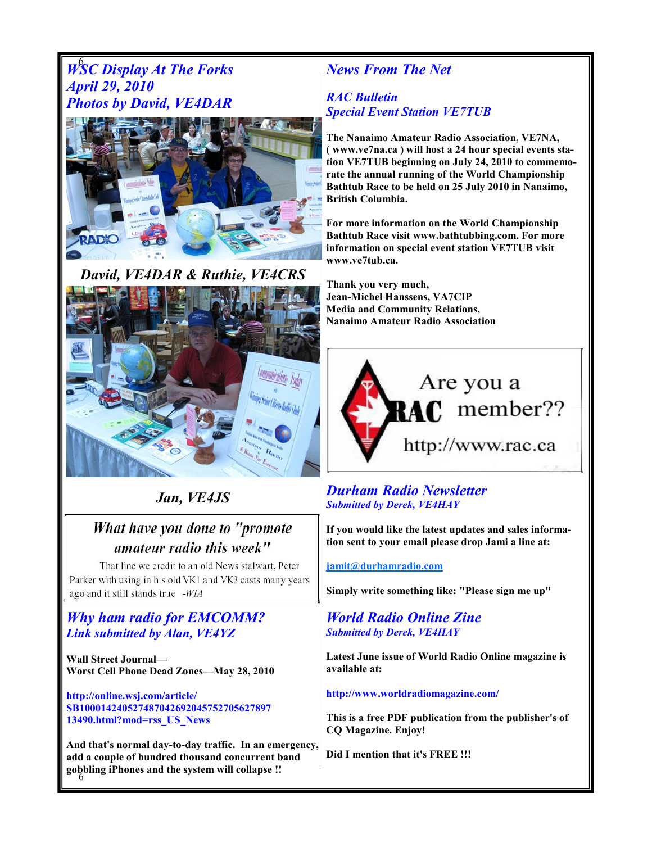## WSC Display At The Forks April 29, 2010 Photos by David, VE4DAR



David, VE4DAR & Ruthie, VE4CRS



## Jan, VE4JS

## What have you done to "promote amateur radio this week"

That line we credit to an old News stalwart, Peter Parker with using in his old VK1 and VK3 casts many years ago and it still stands true -WIA

### Why ham radio for EMCOMM? Link submitted by Alan, VE4YZ

Wall Street Journal— Worst Cell Phone Dead Zones—May 28, 2010

http://online.wsj.com/article/ SB100014240527487042692045752705627897 13490.html?mod=rss\_US\_News

6 gobbling iPhones and the system will collapse !! And that's normal day-to-day traffic. In an emergency, add a couple of hundred thousand concurrent band

## News From The Net

#### RAC Bulletin Special Event Station VE7TUB

The Nanaimo Amateur Radio Association, VE7NA, ( www.ve7na.ca ) will host a 24 hour special events station VE7TUB beginning on July 24, 2010 to commemorate the annual running of the World Championship Bathtub Race to be held on 25 July 2010 in Nanaimo, British Columbia.

For more information on the World Championship Bathtub Race visit www.bathtubbing.com. For more information on special event station VE7TUB visit www.ve7tub.ca.

Thank you very much, Jean-Michel Hanssens, VA7CIP Media and Community Relations, Nanaimo Amateur Radio Association



#### Durham Radio Newsletter Submitted by Derek, VE4HAY

If you would like the latest updates and sales information sent to your email please drop Jami a line at:

#### jamit@durhamradio.com

Simply write something like: "Please sign me up"

#### World Radio Online Zine Submitted by Derek, VE4HAY

Latest June issue of World Radio Online magazine is available at:

http://www.worldradiomagazine.com/

This is a free PDF publication from the publisher's of CQ Magazine. Enjoy!

Did I mention that it's FREE !!!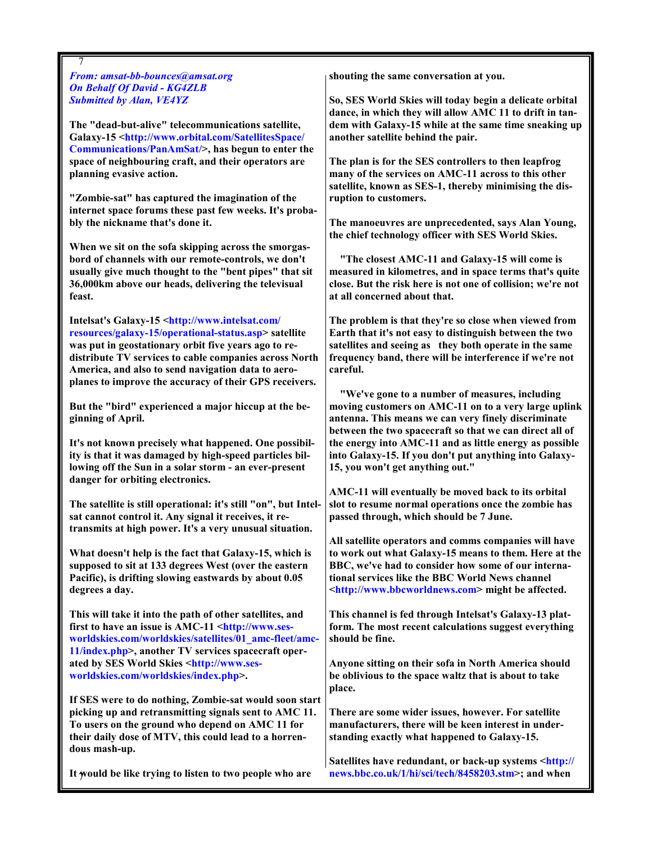7 From: amsat-bb-bounces@amsat.org On Behalf Of David - KG4ZLB Submitted by Alan, VE4YZ

The "dead-but-alive" telecommunications satellite, Galaxy-15 <http://www.orbital.com/SatellitesSpace/ Communications/PanAmSat/>, has begun to enter the space of neighbouring craft, and their operators are planning evasive action.

"Zombie-sat" has captured the imagination of the internet space forums these past few weeks. It's probably the nickname that's done it.

When we sit on the sofa skipping across the smorgasbord of channels with our remote-controls, we don't usually give much thought to the "bent pipes" that sit 36,000km above our heads, delivering the televisual feast.

Intelsat's Galaxy-15 <http://www.intelsat.com/ resources/galaxy-15/operational-status.asp> satellite was put in geostationary orbit five years ago to redistribute TV services to cable companies across North America, and also to send navigation data to aeroplanes to improve the accuracy of their GPS receivers.

But the "bird" experienced a major hiccup at the beginning of April.

It's not known precisely what happened. One possibility is that it was damaged by high-speed particles billowing off the Sun in a solar storm - an ever-present danger for orbiting electronics.

The satellite is still operational: it's still "on", but Intelsat cannot control it. Any signal it receives, it retransmits at high power. It's a very unusual situation.

What doesn't help is the fact that Galaxy-15, which is supposed to sit at 133 degrees West (over the eastern Pacific), is drifting slowing eastwards by about 0.05 degrees a day.

This will take it into the path of other satellites, and first to have an issue is AMC-11 <http://www.sesworldskies.com/worldskies/satellites/01\_amc-fleet/amc-11/index.php>, another TV services spacecraft operated by SES World Skies <http://www.sesworldskies.com/worldskies/index.php>.

If SES were to do nothing, Zombie-sat would soon start picking up and retransmitting signals sent to AMC 11. To users on the ground who depend on AMC 11 for their daily dose of MTV, this could lead to a horrendous mash-up.

It would be like trying to listen to two people who are

shouting the same conversation at you.

So, SES World Skies will today begin a delicate orbital dance, in which they will allow AMC 11 to drift in tandem with Galaxy-15 while at the same time sneaking up another satellite behind the pair.

The plan is for the SES controllers to then leapfrog many of the services on AMC-11 across to this other satellite, known as SES-1, thereby minimising the disruption to customers.

The manoeuvres are unprecedented, says Alan Young, the chief technology officer with SES World Skies.

 "The closest AMC-11 and Galaxy-15 will come is measured in kilometres, and in space terms that's quite close. But the risk here is not one of collision; we're not at all concerned about that.

The problem is that they're so close when viewed from Earth that it's not easy to distinguish between the two satellites and seeing as they both operate in the same frequency band, there will be interference if we're not careful.

 "We've gone to a number of measures, including moving customers on AMC-11 on to a very large uplink antenna. This means we can very finely discriminate between the two spacecraft so that we can direct all of the energy into AMC-11 and as little energy as possible into Galaxy-15. If you don't put anything into Galaxy-15, you won't get anything out."

AMC-11 will eventually be moved back to its orbital slot to resume normal operations once the zombie has passed through, which should be 7 June.

All satellite operators and comms companies will have to work out what Galaxy-15 means to them. Here at the BBC, we've had to consider how some of our international services like the BBC World News channel <http://www.bbcworldnews.com> might be affected.

This channel is fed through Intelsat's Galaxy-13 platform. The most recent calculations suggest everything should be fine.

Anyone sitting on their sofa in North America should be oblivious to the space waltz that is about to take place.

There are some wider issues, however. For satellite manufacturers, there will be keen interest in understanding exactly what happened to Galaxy-15.

Satellites have redundant, or back-up systems <http:// news.bbc.co.uk/1/hi/sci/tech/8458203.stm>; and when